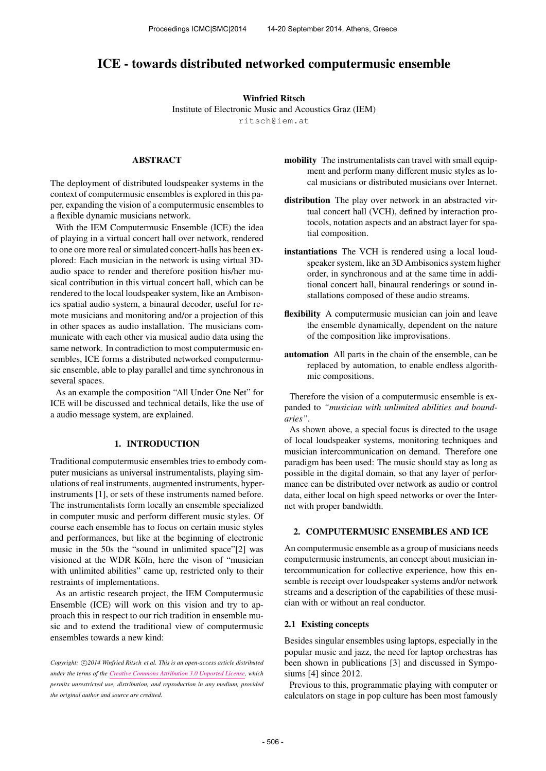# ICE - towards distributed networked computermusic ensemble

#### Winfried Ritsch

Institute of Electronic Music and Acoustics Graz (IEM) [ritsch@iem.at](mailto:ritsch@iem.at)

# ABSTRACT

The deployment of distributed loudspeaker systems in the context of computermusic ensembles is explored in this paper, expanding the vision of a computermusic ensembles to a flexible dynamic musicians network.

With the IEM Computermusic Ensemble (ICE) the idea of playing in a virtual concert hall over network, rendered to one ore more real or simulated concert-halls has been explored: Each musician in the network is using virtual 3Daudio space to render and therefore position his/her musical contribution in this virtual concert hall, which can be rendered to the local loudspeaker system, like an Ambisonics spatial audio system, a binaural decoder, useful for remote musicians and monitoring and/or a projection of this in other spaces as audio installation. The musicians communicate with each other via musical audio data using the same network. In contradiction to most computermusic ensembles, ICE forms a distributed networked computermusic ensemble, able to play parallel and time synchronous in several spaces.

As an example the composition "All Under One Net" for ICE will be discussed and technical details, like the use of a audio message system, are explained.

#### 1. INTRODUCTION

Traditional computermusic ensembles tries to embody computer musicians as universal instrumentalists, playing simulations of real instruments, augmented instruments, hyperinstruments [1], or sets of these instruments named before. The instrumentalists form locally an ensemble specialized in computer music and perform different music styles. Of course each ensemble has to focus on certain music styles and performances, but like at the beginning of electronic music in the 50s the "sound in unlimited space"[2] was visioned at the WDR Köln, here the vison of "musician" with unlimited abilities" came up, restricted only to their restraints of implementations.

As an artistic research project, the IEM Computermusic Ensemble (ICE) will work on this vision and try to approach this in respect to our rich tradition in ensemble music and to extend the traditional view of computermusic ensembles towards a new kind:

Copyright:  $\bigcirc$ 2014 Winfried Ritsch et al. This is an open-access article distributed *under the terms of the [Creative Commons Attribution 3.0 Unported License,](http://creativecommons.org/licenses/by/3.0/) which permits unrestricted use, distribution, and reproduction in any medium, provided the original author and source are credited.*

- mobility The instrumentalists can travel with small equipment and perform many different music styles as local musicians or distributed musicians over Internet.
- distribution The play over network in an abstracted virtual concert hall (VCH), defined by interaction protocols, notation aspects and an abstract layer for spatial composition.
- instantiations The VCH is rendered using a local loudspeaker system, like an 3D Ambisonics system higher order, in synchronous and at the same time in additional concert hall, binaural renderings or sound installations composed of these audio streams.
- flexibility A computermusic musician can join and leave the ensemble dynamically, dependent on the nature of the composition like improvisations.
- automation All parts in the chain of the ensemble, can be replaced by automation, to enable endless algorithmic compositions.

Therefore the vision of a computermusic ensemble is expanded to *"musician with unlimited abilities and boundaries"*.

As shown above, a special focus is directed to the usage of local loudspeaker systems, monitoring techniques and musician intercommunication on demand. Therefore one paradigm has been used: The music should stay as long as possible in the digital domain, so that any layer of performance can be distributed over network as audio or control data, either local on high speed networks or over the Internet with proper bandwidth.

#### 2. COMPUTERMUSIC ENSEMBLES AND ICE

An computermusic ensemble as a group of musicians needs computermusic instruments, an concept about musician intercommunication for collective experience, how this ensemble is receipt over loudspeaker systems and/or network streams and a description of the capabilities of these musician with or without an real conductor.

#### 2.1 Existing concepts

Besides singular ensembles using laptops, especially in the popular music and jazz, the need for laptop orchestras has been shown in publications [3] and discussed in Symposiums [4] since 2012.

Previous to this, programmatic playing with computer or calculators on stage in pop culture has been most famously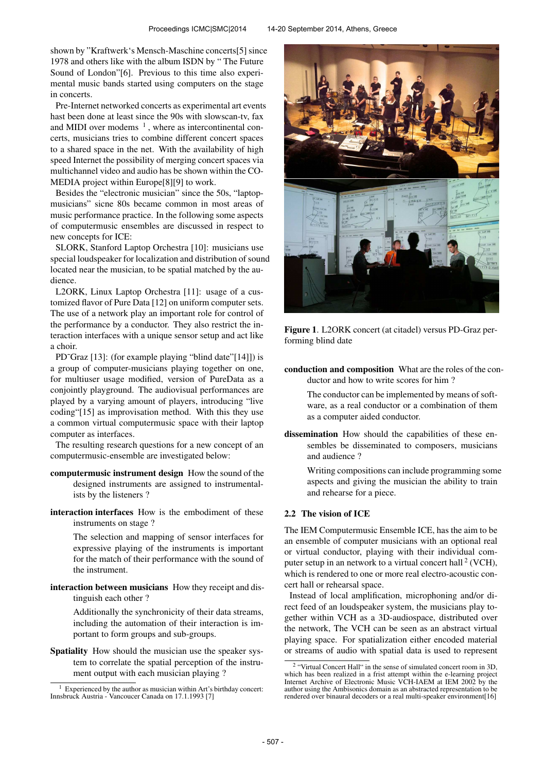shown by "Kraftwerk's Mensch-Maschine concerts[5] since 1978 and others like with the album ISDN by " The Future Sound of London"[6]. Previous to this time also experimental music bands started using computers on the stage in concerts.

Pre-Internet networked concerts as experimental art events hast been done at least since the 90s with slowscan-tv, fax and MIDI over modems  $<sup>1</sup>$ , where as intercontinental con-</sup> certs, musicians tries to combine different concert spaces to a shared space in the net. With the availability of high speed Internet the possibility of merging concert spaces via multichannel video and audio has be shown within the CO-MEDIA project within Europe[8][9] to work.

Besides the "electronic musician" since the 50s, "laptopmusicians" sicne 80s became common in most areas of music performance practice. In the following some aspects of computermusic ensembles are discussed in respect to new concepts for ICE:

SLORK, Stanford Laptop Orchestra [10]: musicians use special loudspeaker for localization and distribution of sound located near the musician, to be spatial matched by the audience.

L2ORK, Linux Laptop Orchestra [11]: usage of a customized flavor of Pure Data [12] on uniform computer sets. The use of a network play an important role for control of the performance by a conductor. They also restrict the interaction interfaces with a unique sensor setup and act like a choir.

PD~Graz [13]: (for example playing "blind date"[14]]) is a group of computer-musicians playing together on one, for multiuser usage modified, version of PureData as a conjointly playground. The audiovisual performances are played by a varying amount of players, introducing "live coding"[15] as improvisation method. With this they use a common virtual computermusic space with their laptop computer as interfaces.

The resulting research questions for a new concept of an computermusic-ensemble are investigated below:

- computermusic instrument design How the sound of the designed instruments are assigned to instrumentalists by the listeners ?
- interaction interfaces How is the embodiment of these instruments on stage ?

The selection and mapping of sensor interfaces for expressive playing of the instruments is important for the match of their performance with the sound of the instrument.

interaction between musicians How they receipt and distinguish each other ?

> Additionally the synchronicity of their data streams, including the automation of their interaction is important to form groups and sub-groups.

Spatiality How should the musician use the speaker system to correlate the spatial perception of the instrument output with each musician playing ?



Figure 1. L2ORK concert (at citadel) versus PD-Graz performing blind date

conduction and composition What are the roles of the conductor and how to write scores for him ?

> The conductor can be implemented by means of software, as a real conductor or a combination of them as a computer aided conductor.

dissemination How should the capabilities of these ensembles be disseminated to composers, musicians and audience ?

> Writing compositions can include programming some aspects and giving the musician the ability to train and rehearse for a piece.

## 2.2 The vision of ICE

The IEM Computermusic Ensemble ICE, has the aim to be an ensemble of computer musicians with an optional real or virtual conductor, playing with their individual computer setup in an network to a virtual concert hall  $2$  (VCH), which is rendered to one or more real electro-acoustic concert hall or rehearsal space.

Instead of local amplification, microphoning and/or direct feed of an loudspeaker system, the musicians play together within VCH as a 3D-audiospace, distributed over the network, The VCH can be seen as an abstract virtual playing space. For spatialization either encoded material or streams of audio with spatial data is used to represent

 $<sup>1</sup>$  Experienced by the author as musician within Art's birthday concert:</sup> Innsbruck Austria - Vancoucer Canada on 17.1.1993 [7]

<sup>&</sup>lt;sup>2</sup> "Virtual Concert Hall" in the sense of simulated concert room in 3D, which has been realized in a frist attempt within the e-learning project Internet Archive of Electronic Music VCH-IAEM at IEM 2002 by the author using the Ambisonics domain as an abstracted representation to be rendered over binaural decoders or a real multi-speaker environment[16]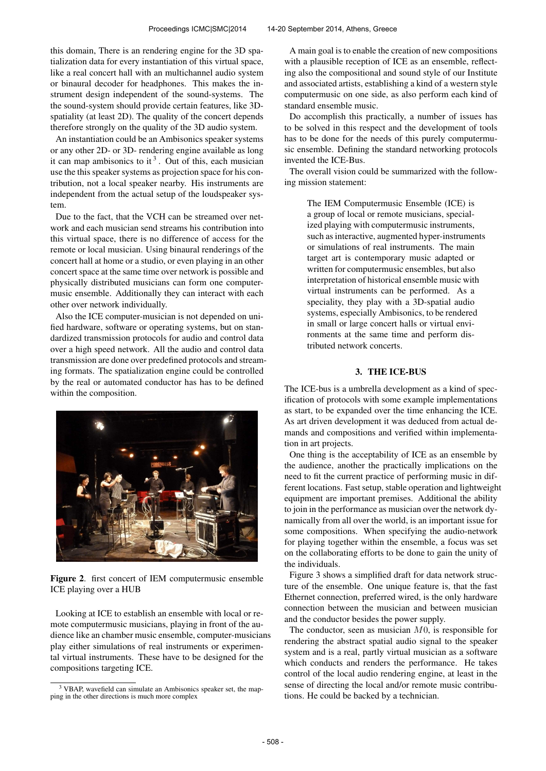this domain, There is an rendering engine for the 3D spatialization data for every instantiation of this virtual space, like a real concert hall with an multichannel audio system or binaural decoder for headphones. This makes the instrument design independent of the sound-systems. The the sound-system should provide certain features, like 3Dspatiality (at least 2D). The quality of the concert depends therefore strongly on the quality of the 3D audio system.

An instantiation could be an Ambisonics speaker systems or any other 2D- or 3D- rendering engine available as long it can map ambisonics to it<sup>3</sup>. Out of this, each musician use the this speaker systems as projection space for his contribution, not a local speaker nearby. His instruments are independent from the actual setup of the loudspeaker system.

Due to the fact, that the VCH can be streamed over network and each musician send streams his contribution into this virtual space, there is no difference of access for the remote or local musician. Using binaural renderings of the concert hall at home or a studio, or even playing in an other concert space at the same time over network is possible and physically distributed musicians can form one computermusic ensemble. Additionally they can interact with each other over network individually.

Also the ICE computer-musician is not depended on unified hardware, software or operating systems, but on standardized transmission protocols for audio and control data over a high speed network. All the audio and control data transmission are done over predefined protocols and streaming formats. The spatialization engine could be controlled by the real or automated conductor has has to be defined within the composition.



Figure 2. first concert of IEM computermusic ensemble ICE playing over a HUB

Looking at ICE to establish an ensemble with local or remote computermusic musicians, playing in front of the audience like an chamber music ensemble, computer-musicians play either simulations of real instruments or experimental virtual instruments. These have to be designed for the compositions targeting ICE.

A main goal is to enable the creation of new compositions with a plausible reception of ICE as an ensemble, reflecting also the compositional and sound style of our Institute and associated artists, establishing a kind of a western style computermusic on one side, as also perform each kind of standard ensemble music.

Do accomplish this practically, a number of issues has to be solved in this respect and the development of tools has to be done for the needs of this purely computermusic ensemble. Defining the standard networking protocols invented the ICE-Bus.

The overall vision could be summarized with the following mission statement:

> The IEM Computermusic Ensemble (ICE) is a group of local or remote musicians, specialized playing with computermusic instruments, such as interactive, augmented hyper-instruments or simulations of real instruments. The main target art is contemporary music adapted or written for computermusic ensembles, but also interpretation of historical ensemble music with virtual instruments can be performed. As a speciality, they play with a 3D-spatial audio systems, especially Ambisonics, to be rendered in small or large concert halls or virtual environments at the same time and perform distributed network concerts.

# 3. THE ICE-BUS

The ICE-bus is a umbrella development as a kind of specification of protocols with some example implementations as start, to be expanded over the time enhancing the ICE. As art driven development it was deduced from actual demands and compositions and verified within implementation in art projects.

One thing is the acceptability of ICE as an ensemble by the audience, another the practically implications on the need to fit the current practice of performing music in different locations. Fast setup, stable operation and lightweight equipment are important premises. Additional the ability to join in the performance as musician over the network dynamically from all over the world, is an important issue for some compositions. When specifying the audio-network for playing together within the ensemble, a focus was set on the collaborating efforts to be done to gain the unity of the individuals.

Figure 3 shows a simplified draft for data network structure of the ensemble. One unique feature is, that the fast Ethernet connection, preferred wired, is the only hardware connection between the musician and between musician and the conductor besides the power supply.

The conductor, seen as musician  $M<sub>0</sub>$ , is responsible for rendering the abstract spatial audio signal to the speaker system and is a real, partly virtual musician as a software which conducts and renders the performance. He takes control of the local audio rendering engine, at least in the sense of directing the local and/or remote music contributions. He could be backed by a technician.

<sup>3</sup> VBAP, wavefield can simulate an Ambisonics speaker set, the mapping in the other directions is much more complex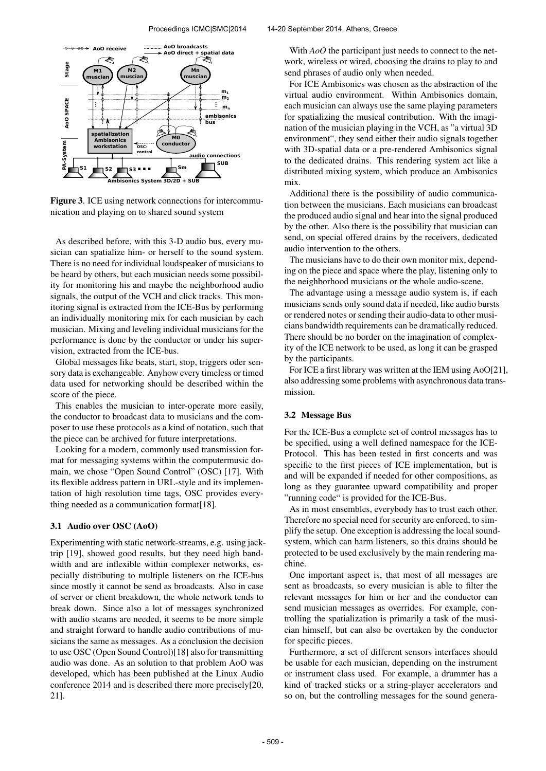

Figure 3. ICE using network connections for intercommunication and playing on to shared sound system

As described before, with this 3-D audio bus, every musician can spatialize him- or herself to the sound system. There is no need for individual loudspeaker of musicians to be heard by others, but each musician needs some possibility for monitoring his and maybe the neighborhood audio signals, the output of the VCH and click tracks. This monitoring signal is extracted from the ICE-Bus by performing an individually monitoring mix for each musician by each musician. Mixing and leveling individual musicians for the performance is done by the conductor or under his supervision, extracted from the ICE-bus.

Global messages like beats, start, stop, triggers oder sensory data is exchangeable. Anyhow every timeless or timed data used for networking should be described within the score of the piece.

This enables the musician to inter-operate more easily, the conductor to broadcast data to musicians and the composer to use these protocols as a kind of notation, such that the piece can be archived for future interpretations.

Looking for a modern, commonly used transmission format for messaging systems within the computermusic domain, we chose "Open Sound Control" (OSC) [17]. With its flexible address pattern in URL-style and its implementation of high resolution time tags, OSC provides everything needed as a communication format[18].

### 3.1 Audio over OSC (AoO)

Experimenting with static network-streams, e.g. using jacktrip [19], showed good results, but they need high bandwidth and are inflexible within complexer networks, especially distributing to multiple listeners on the ICE-bus since mostly it cannot be send as broadcasts. Also in case of server or client breakdown, the whole network tends to break down. Since also a lot of messages synchronized with audio steams are needed, it seems to be more simple and straight forward to handle audio contributions of musicians the same as messages. As a conclusion the decision to use OSC (Open Sound Control)[18] also for transmitting audio was done. As an solution to that problem AoO was developed, which has been published at the Linux Audio conference 2014 and is described there more precisely[20, 21].

With *AoO* the participant just needs to connect to the network, wireless or wired, choosing the drains to play to and send phrases of audio only when needed.

For ICE Ambisonics was chosen as the abstraction of the virtual audio environment. Within Ambisonics domain, each musician can always use the same playing parameters for spatializing the musical contribution. With the imagination of the musician playing in the VCH, as "a virtual 3D environment", they send either their audio signals together with 3D-spatial data or a pre-rendered Ambisonics signal to the dedicated drains. This rendering system act like a distributed mixing system, which produce an Ambisonics mix.

Additional there is the possibility of audio communication between the musicians. Each musicians can broadcast the produced audio signal and hear into the signal produced by the other. Also there is the possibility that musician can send, on special offered drains by the receivers, dedicated audio intervention to the others.

The musicians have to do their own monitor mix, depending on the piece and space where the play, listening only to the neighborhood musicians or the whole audio-scene.

The advantage using a message audio system is, if each musicians sends only sound data if needed, like audio bursts or rendered notes or sending their audio-data to other musicians bandwidth requirements can be dramatically reduced. There should be no border on the imagination of complexity of the ICE network to be used, as long it can be grasped by the participants.

For ICE a first library was written at the IEM using AoO[21], also addressing some problems with asynchronous data transmission.

### 3.2 Message Bus

For the ICE-Bus a complete set of control messages has to be specified, using a well defined namespace for the ICE-Protocol. This has been tested in first concerts and was specific to the first pieces of ICE implementation, but is and will be expanded if needed for other compositions, as long as they guarantee upward compatibility and proper "running code" is provided for the ICE-Bus.

As in most ensembles, everybody has to trust each other. Therefore no special need for security are enforced, to simplify the setup. One exception is addressing the local soundsystem, which can harm listeners, so this drains should be protected to be used exclusively by the main rendering machine.

One important aspect is, that most of all messages are sent as broadcasts, so every musician is able to filter the relevant messages for him or her and the conductor can send musician messages as overrides. For example, controlling the spatialization is primarily a task of the musician himself, but can also be overtaken by the conductor for specific pieces.

Furthermore, a set of different sensors interfaces should be usable for each musician, depending on the instrument or instrument class used. For example, a drummer has a kind of tracked sticks or a string-player accelerators and so on, but the controlling messages for the sound genera-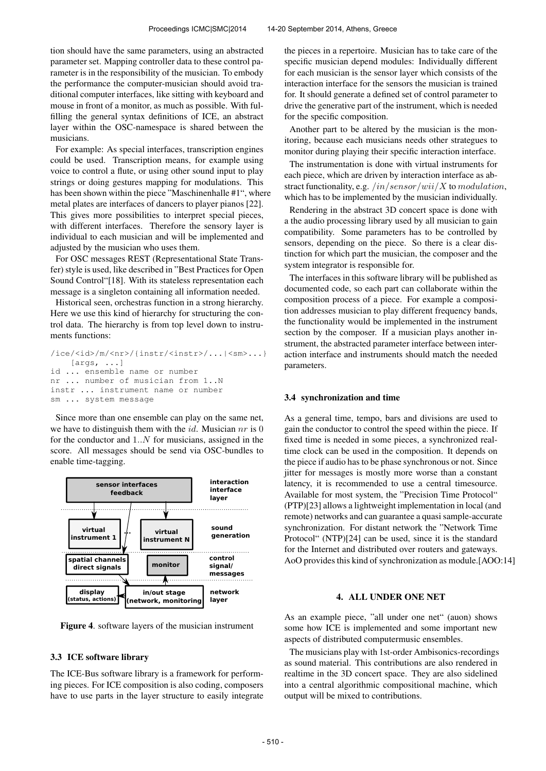tion should have the same parameters, using an abstracted parameter set. Mapping controller data to these control parameter is in the responsibility of the musician. To embody the performance the computer-musician should avoid traditional computer interfaces, like sitting with keyboard and mouse in front of a monitor, as much as possible. With fulfilling the general syntax definitions of ICE, an abstract layer within the OSC-namespace is shared between the musicians.

For example: As special interfaces, transcription engines could be used. Transcription means, for example using voice to control a flute, or using other sound input to play strings or doing gestures mapping for modulations. This has been shown within the piece "Maschinenhalle #1", where metal plates are interfaces of dancers to player pianos [22]. This gives more possibilities to interpret special pieces, with different interfaces. Therefore the sensory layer is individual to each musician and will be implemented and adjusted by the musician who uses them.

For OSC messages REST (Representational State Transfer) style is used, like described in "Best Practices for Open Sound Control"[18]. With its stateless representation each message is a singleton containing all information needed.

Historical seen, orchestras function in a strong hierarchy. Here we use this kind of hierarchy for structuring the control data. The hierarchy is from top level down to instruments functions:

```
/ice/<id>/m/<nr>/{instr/<instr>/...|<sm>...}
    [args, ...]
id ... ensemble name or number
nr ... number of musician from 1..N
instr ... instrument name or number
sm ... system message
```
Since more than one ensemble can play on the same net, we have to distinguish them with the *id*. Musician  $nr$  is 0 for the conductor and  $1..N$  for musicians, assigned in the score. All messages should be send via OSC-bundles to enable time-tagging.



Figure 4. software layers of the musician instrument

#### 3.3 ICE software library

The ICE-Bus software library is a framework for performing pieces. For ICE composition is also coding, composers have to use parts in the layer structure to easily integrate the pieces in a repertoire. Musician has to take care of the specific musician depend modules: Individually different for each musician is the sensor layer which consists of the interaction interface for the sensors the musician is trained for. It should generate a defined set of control parameter to drive the generative part of the instrument, which is needed for the specific composition.

Another part to be altered by the musician is the monitoring, because each musicians needs other strategues to monitor during playing their specific interaction interface.

The instrumentation is done with virtual instruments for each piece, which are driven by interaction interface as abstract functionality, e.g.  $/in/sensor/wii/X$  to modulation, which has to be implemented by the musician individually.

Rendering in the abstract 3D concert space is done with a the audio processing library used by all musician to gain compatibility. Some parameters has to be controlled by sensors, depending on the piece. So there is a clear distinction for which part the musician, the composer and the system integrator is responsible for.

The interfaces in this software library will be published as documented code, so each part can collaborate within the composition process of a piece. For example a composition addresses musician to play different frequency bands, the functionality would be implemented in the instrument section by the composer. If a musician plays another instrument, the abstracted parameter interface between interaction interface and instruments should match the needed parameters.

#### 3.4 synchronization and time

As a general time, tempo, bars and divisions are used to gain the conductor to control the speed within the piece. If fixed time is needed in some pieces, a synchronized realtime clock can be used in the composition. It depends on the piece if audio has to be phase synchronous or not. Since jitter for messages is mostly more worse than a constant latency, it is recommended to use a central timesource. Available for most system, the "Precision Time Protocol" (PTP)[23] allows a lightweight implementation in local (and remote) networks and can guarantee a quasi sample-accurate synchronization. For distant network the "Network Time Protocol" (NTP)[24] can be used, since it is the standard for the Internet and distributed over routers and gateways. AoO provides this kind of synchronization as module.[AOO:14]

# 4. ALL UNDER ONE NET

As an example piece, "all under one net" (auon) shows some how ICE is implemented and some important new aspects of distributed computermusic ensembles.

The musicians play with 1st-order Ambisonics-recordings as sound material. This contributions are also rendered in realtime in the 3D concert space. They are also sidelined into a central algorithmic compositional machine, which output will be mixed to contributions.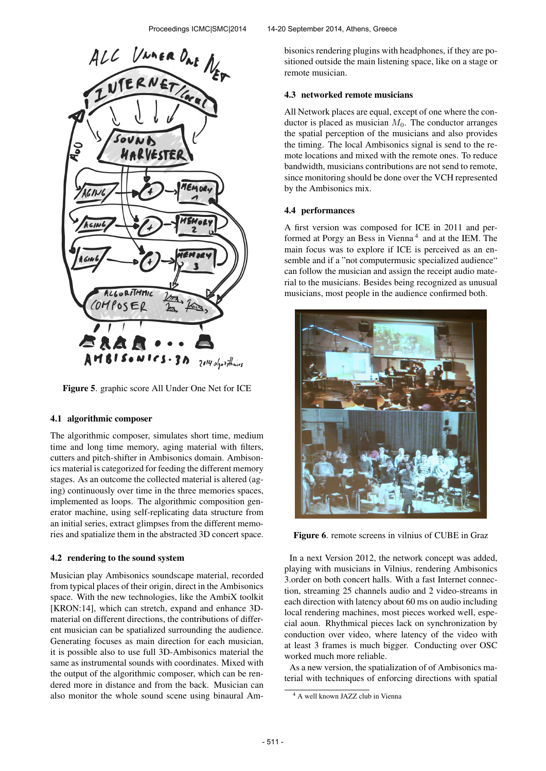

Figure 5. graphic score All Under One Net for ICE

### 4.1 algorithmic composer

The algorithmic composer, simulates short time, medium time and long time memory, aging material with filters, cutters and pitch-shifter in Ambisonics domain. Ambisonics material is categorized for feeding the different memory stages. As an outcome the collected material is altered (aging) continuously over time in the three memories spaces, implemented as loops. The algorithmic composition generator machine, using self-replicating data structure from an initial series, extract glimpses from the different memories and spatialize them in the abstracted 3D concert space.

### 4.2 rendering to the sound system

Musician play Ambisonics soundscape material, recorded from typical places of their origin, direct in the Ambisonics space. With the new technologies, like the AmbiX toolkit [KRON:14], which can stretch, expand and enhance 3Dmaterial on different directions, the contributions of different musician can be spatialized surrounding the audience. Generating focuses as main direction for each musician, it is possible also to use full 3D-Ambisonics material the same as instrumental sounds with coordinates. Mixed with the output of the algorithmic composer, which can be rendered more in distance and from the back. Musician can also monitor the whole sound scene using binaural Ambisonics rendering plugins with headphones, if they are positioned outside the main listening space, like on a stage or remote musician.

## 4.3 networked remote musicians

All Network places are equal, except of one where the conductor is placed as musician  $M_0$ . The conductor arranges the spatial perception of the musicians and also provides the timing. The local Ambisonics signal is send to the remote locations and mixed with the remote ones. To reduce bandwidth, musicians contributions are not send to remote, since monitoring should be done over the VCH represented by the Ambisonics mix.

### 4.4 performances

A first version was composed for ICE in 2011 and performed at Porgy an Bess in Vienna<sup>4</sup> and at the IEM. The main focus was to explore if ICE is perceived as an ensemble and if a "not computermusic specialized audience" can follow the musician and assign the receipt audio material to the musicians. Besides being recognized as unusual musicians, most people in the audience confirmed both.



Figure 6. remote screens in vilnius of CUBE in Graz

In a next Version 2012, the network concept was added, playing with musicians in Vilnius, rendering Ambisonics 3.order on both concert halls. With a fast Internet connection, streaming 25 channels audio and 2 video-streams in each direction with latency about 60 ms on audio including local rendering machines, most pieces worked well, especial aoun. Rhythmical pieces lack on synchronization by conduction over video, where latency of the video with at least 3 frames is much bigger. Conducting over OSC worked much more reliable.

As a new version, the spatialization of of Ambisonics material with techniques of enforcing directions with spatial

<sup>4</sup> A well known JAZZ club in Vienna